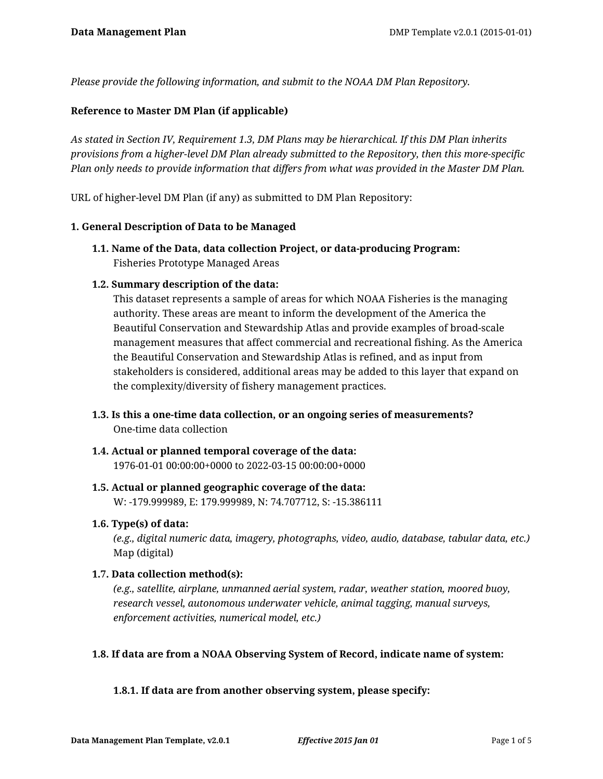*Please provide the following information, and submit to the NOAA DM Plan Repository.*

## **Reference to Master DM Plan (if applicable)**

*As stated in Section IV, Requirement 1.3, DM Plans may be hierarchical. If this DM Plan inherits provisions from a higher-level DM Plan already submitted to the Repository, then this more-specific Plan only needs to provide information that differs from what was provided in the Master DM Plan.*

URL of higher-level DM Plan (if any) as submitted to DM Plan Repository:

#### **1. General Description of Data to be Managed**

**1.1. Name of the Data, data collection Project, or data-producing Program:** Fisheries Prototype Managed Areas

## **1.2. Summary description of the data:**

This dataset represents a sample of areas for which NOAA Fisheries is the managing authority. These areas are meant to inform the development of the America the Beautiful Conservation and Stewardship Atlas and provide examples of broad-scale management measures that affect commercial and recreational fishing. As the America the Beautiful Conservation and Stewardship Atlas is refined, and as input from stakeholders is considered, additional areas may be added to this layer that expand on the complexity/diversity of fishery management practices.

- **1.3. Is this a one-time data collection, or an ongoing series of measurements?** One-time data collection
- **1.4. Actual or planned temporal coverage of the data:** 1976-01-01 00:00:00+0000 to 2022-03-15 00:00:00+0000
- **1.5. Actual or planned geographic coverage of the data:** W: -179.999989, E: 179.999989, N: 74.707712, S: -15.386111

#### **1.6. Type(s) of data:**

*(e.g., digital numeric data, imagery, photographs, video, audio, database, tabular data, etc.)* Map (digital)

#### **1.7. Data collection method(s):**

*(e.g., satellite, airplane, unmanned aerial system, radar, weather station, moored buoy, research vessel, autonomous underwater vehicle, animal tagging, manual surveys, enforcement activities, numerical model, etc.)*

# **1.8. If data are from a NOAA Observing System of Record, indicate name of system:**

# **1.8.1. If data are from another observing system, please specify:**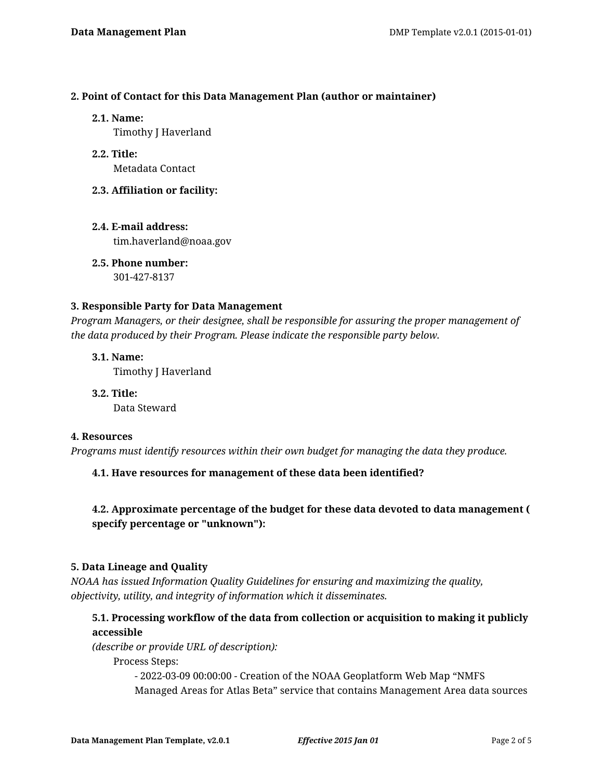#### **2. Point of Contact for this Data Management Plan (author or maintainer)**

#### **2.1. Name:**

Timothy J Haverland

- **2.2. Title:** Metadata Contact
- **2.3. Affiliation or facility:**
- **2.4. E-mail address:** tim.haverland@noaa.gov

**2.5. Phone number:** 301-427-8137

## **3. Responsible Party for Data Management**

*Program Managers, or their designee, shall be responsible for assuring the proper management of the data produced by their Program. Please indicate the responsible party below.*

**3.1. Name:** Timothy J Haverland

**3.2. Title:** Data Steward

#### **4. Resources**

*Programs must identify resources within their own budget for managing the data they produce.*

# **4.1. Have resources for management of these data been identified?**

# **4.2. Approximate percentage of the budget for these data devoted to data management ( specify percentage or "unknown"):**

# **5. Data Lineage and Quality**

*NOAA has issued Information Quality Guidelines for ensuring and maximizing the quality, objectivity, utility, and integrity of information which it disseminates.*

# **5.1. Processing workflow of the data from collection or acquisition to making it publicly accessible**

*(describe or provide URL of description):*

Process Steps:

- 2022-03-09 00:00:00 - Creation of the NOAA Geoplatform Web Map "NMFS Managed Areas for Atlas Beta" service that contains Management Area data sources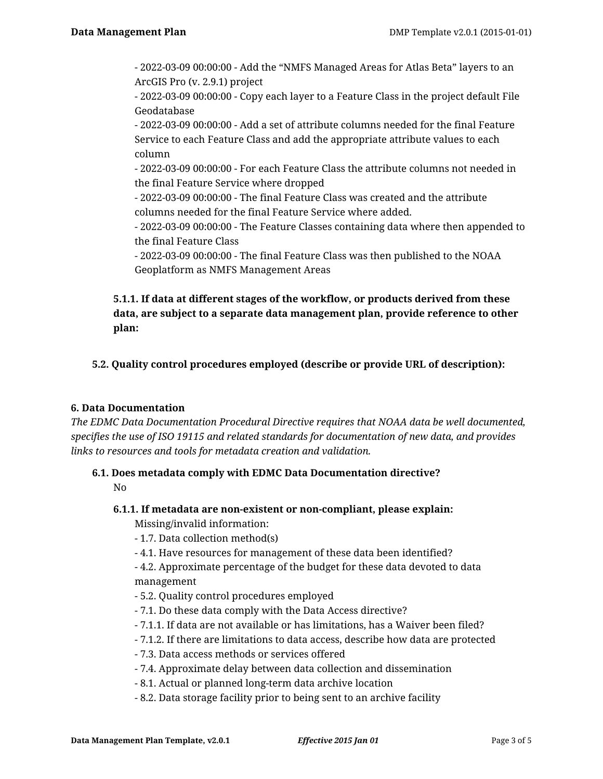- 2022-03-09 00:00:00 - Add the "NMFS Managed Areas for Atlas Beta" layers to an ArcGIS Pro (v. 2.9.1) project

- 2022-03-09 00:00:00 - Copy each layer to a Feature Class in the project default File Geodatabase

- 2022-03-09 00:00:00 - Add a set of attribute columns needed for the final Feature Service to each Feature Class and add the appropriate attribute values to each column

- 2022-03-09 00:00:00 - For each Feature Class the attribute columns not needed in the final Feature Service where dropped

- 2022-03-09 00:00:00 - The final Feature Class was created and the attribute columns needed for the final Feature Service where added.

- 2022-03-09 00:00:00 - The Feature Classes containing data where then appended to the final Feature Class

- 2022-03-09 00:00:00 - The final Feature Class was then published to the NOAA Geoplatform as NMFS Management Areas

# **5.1.1. If data at different stages of the workflow, or products derived from these data, are subject to a separate data management plan, provide reference to other plan:**

**5.2. Quality control procedures employed (describe or provide URL of description):**

# **6. Data Documentation**

*The EDMC Data Documentation Procedural Directive requires that NOAA data be well documented, specifies the use of ISO 19115 and related standards for documentation of new data, and provides links to resources and tools for metadata creation and validation.*

# **6.1. Does metadata comply with EDMC Data Documentation directive?**

No

- **6.1.1. If metadata are non-existent or non-compliant, please explain:** Missing/invalid information:
	- 1.7. Data collection method(s)
	- 4.1. Have resources for management of these data been identified?
	- 4.2. Approximate percentage of the budget for these data devoted to data management
	- 5.2. Quality control procedures employed
	- 7.1. Do these data comply with the Data Access directive?
	- 7.1.1. If data are not available or has limitations, has a Waiver been filed?
	- 7.1.2. If there are limitations to data access, describe how data are protected
	- 7.3. Data access methods or services offered
	- 7.4. Approximate delay between data collection and dissemination
	- 8.1. Actual or planned long-term data archive location
	- 8.2. Data storage facility prior to being sent to an archive facility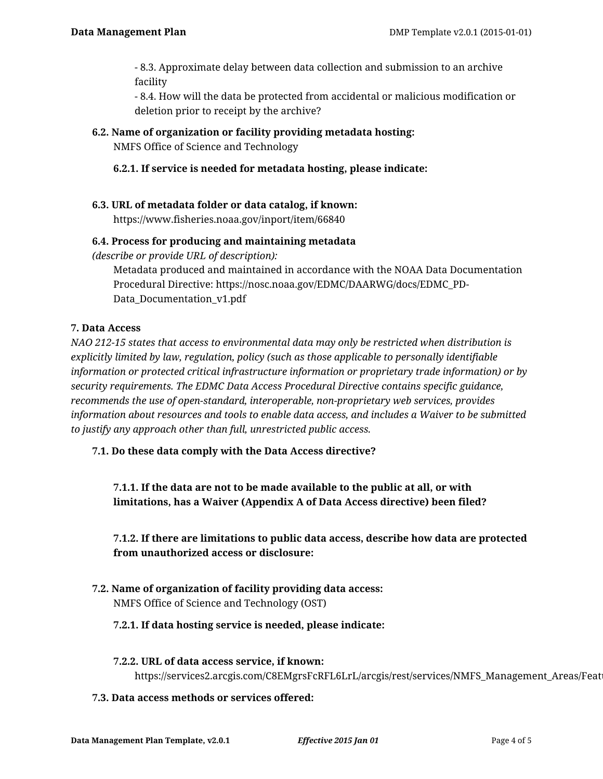- 8.3. Approximate delay between data collection and submission to an archive facility

- 8.4. How will the data be protected from accidental or malicious modification or deletion prior to receipt by the archive?

## **6.2. Name of organization or facility providing metadata hosting:**

NMFS Office of Science and Technology

## **6.2.1. If service is needed for metadata hosting, please indicate:**

# **6.3. URL of metadata folder or data catalog, if known:**

https://www.fisheries.noaa.gov/inport/item/66840

## **6.4. Process for producing and maintaining metadata**

*(describe or provide URL of description):*

Metadata produced and maintained in accordance with the NOAA Data Documentation Procedural Directive: https://nosc.noaa.gov/EDMC/DAARWG/docs/EDMC\_PD-Data Documentation v1.pdf

#### **7. Data Access**

*NAO 212-15 states that access to environmental data may only be restricted when distribution is explicitly limited by law, regulation, policy (such as those applicable to personally identifiable information or protected critical infrastructure information or proprietary trade information) or by security requirements. The EDMC Data Access Procedural Directive contains specific guidance, recommends the use of open-standard, interoperable, non-proprietary web services, provides information about resources and tools to enable data access, and includes a Waiver to be submitted to justify any approach other than full, unrestricted public access.*

#### **7.1. Do these data comply with the Data Access directive?**

**7.1.1. If the data are not to be made available to the public at all, or with limitations, has a Waiver (Appendix A of Data Access directive) been filed?**

# **7.1.2. If there are limitations to public data access, describe how data are protected from unauthorized access or disclosure:**

**7.2. Name of organization of facility providing data access:** NMFS Office of Science and Technology (OST)

#### **7.2.1. If data hosting service is needed, please indicate:**

- **7.2.2. URL of data access service, if known:** https://services2.arcgis.com/C8EMgrsFcRFL6LrL/arcgis/rest/services/NMFS\_Management\_Areas/Feat
- **7.3. Data access methods or services offered:**